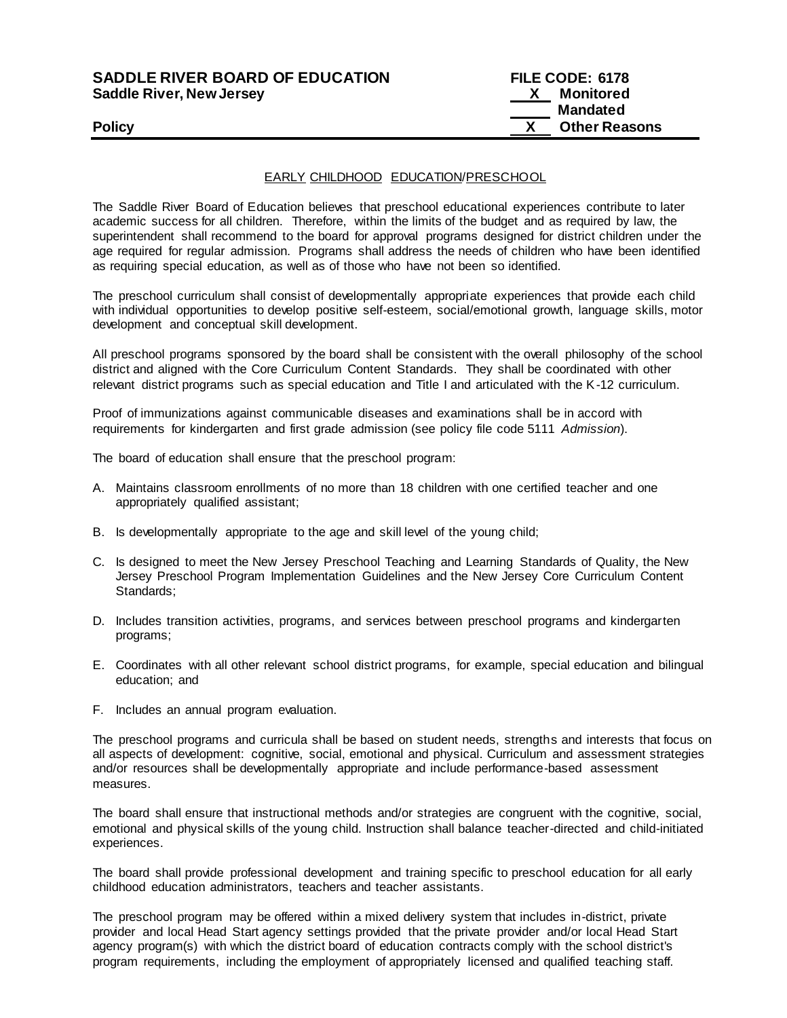# **SADDLE RIVER BOARD OF EDUCATION Saddle River, New Jersey**

| <b>SADDLE RIVER BOARD OF EDUCATION</b> | <b>FILE CODE: 6178</b> |
|----------------------------------------|------------------------|
| Saddle River, New Jersey               | <b>X</b> Monitored     |
|                                        | <b>Mandated</b>        |
| <b>Policy</b>                          | <b>Other Reasons</b>   |

# EARLY CHILDHOOD EDUCATION/PRESCHOOL

The Saddle River Board of Education believes that preschool educational experiences contribute to later academic success for all children. Therefore, within the limits of the budget and as required by law, the superintendent shall recommend to the board for approval programs designed for district children under the age required for regular admission. Programs shall address the needs of children who have been identified as requiring special education, as well as of those who have not been so identified.

The preschool curriculum shall consist of developmentally appropriate experiences that provide each child with individual opportunities to develop positive self-esteem, social/emotional growth, language skills, motor development and conceptual skill development.

All preschool programs sponsored by the board shall be consistent with the overall philosophy of the school district and aligned with the Core Curriculum Content Standards. They shall be coordinated with other relevant district programs such as special education and Title I and articulated with the K-12 curriculum.

Proof of immunizations against communicable diseases and examinations shall be in accord with requirements for kindergarten and first grade admission (see policy file code 5111 *Admission*).

The board of education shall ensure that the preschool program:

- A. Maintains classroom enrollments of no more than 18 children with one certified teacher and one appropriately qualified assistant;
- B. Is developmentally appropriate to the age and skill level of the young child;
- C. Is designed to meet the New Jersey Preschool Teaching and Learning Standards of Quality, the New Jersey Preschool Program Implementation Guidelines and the New Jersey Core Curriculum Content Standards;
- D. Includes transition activities, programs, and services between preschool programs and kindergarten programs;
- E. Coordinates with all other relevant school district programs, for example, special education and bilingual education; and
- F. Includes an annual program evaluation.

The preschool programs and curricula shall be based on student needs, strengths and interests that focus on all aspects of development: cognitive, social, emotional and physical. Curriculum and assessment strategies and/or resources shall be developmentally appropriate and include performance-based assessment measures.

The board shall ensure that instructional methods and/or strategies are congruent with the cognitive, social, emotional and physical skills of the young child. Instruction shall balance teacher-directed and child-initiated experiences.

The board shall provide professional development and training specific to preschool education for all early childhood education administrators, teachers and teacher assistants.

The preschool program may be offered within a mixed delivery system that includes in-district, private provider and local Head Start agency settings provided that the private provider and/or local Head Start agency program(s) with which the district board of education contracts comply with the school district's program requirements, including the employment of appropriately licensed and qualified teaching staff.